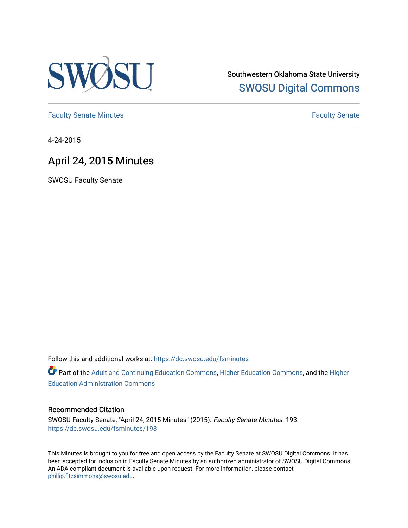

Southwestern Oklahoma State University [SWOSU Digital Commons](https://dc.swosu.edu/) 

[Faculty Senate Minutes](https://dc.swosu.edu/fsminutes) **Faculty** Senate Minutes

4-24-2015

## April 24, 2015 Minutes

SWOSU Faculty Senate

Follow this and additional works at: [https://dc.swosu.edu/fsminutes](https://dc.swosu.edu/fsminutes?utm_source=dc.swosu.edu%2Ffsminutes%2F193&utm_medium=PDF&utm_campaign=PDFCoverPages) 

Part of the [Adult and Continuing Education Commons,](http://network.bepress.com/hgg/discipline/1375?utm_source=dc.swosu.edu%2Ffsminutes%2F193&utm_medium=PDF&utm_campaign=PDFCoverPages) [Higher Education Commons,](http://network.bepress.com/hgg/discipline/1245?utm_source=dc.swosu.edu%2Ffsminutes%2F193&utm_medium=PDF&utm_campaign=PDFCoverPages) and the [Higher](http://network.bepress.com/hgg/discipline/791?utm_source=dc.swosu.edu%2Ffsminutes%2F193&utm_medium=PDF&utm_campaign=PDFCoverPages) [Education Administration Commons](http://network.bepress.com/hgg/discipline/791?utm_source=dc.swosu.edu%2Ffsminutes%2F193&utm_medium=PDF&utm_campaign=PDFCoverPages) 

#### Recommended Citation

SWOSU Faculty Senate, "April 24, 2015 Minutes" (2015). Faculty Senate Minutes. 193. [https://dc.swosu.edu/fsminutes/193](https://dc.swosu.edu/fsminutes/193?utm_source=dc.swosu.edu%2Ffsminutes%2F193&utm_medium=PDF&utm_campaign=PDFCoverPages) 

This Minutes is brought to you for free and open access by the Faculty Senate at SWOSU Digital Commons. It has been accepted for inclusion in Faculty Senate Minutes by an authorized administrator of SWOSU Digital Commons. An ADA compliant document is available upon request. For more information, please contact [phillip.fitzsimmons@swosu.edu](mailto:phillip.fitzsimmons@swosu.edu).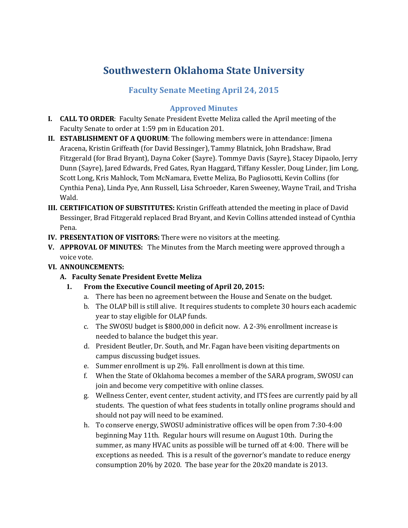# **Southwestern Oklahoma State University**

### **Faculty Senate Meeting April 24, 2015**

#### **Approved Minutes**

- **I. CALL TO ORDER**: Faculty Senate President Evette Meliza called the April meeting of the Faculty Senate to order at 1:59 pm in Education 201.
- **II. ESTABLISHMENT OF A QUORUM**: The following members were in attendance: Jimena Aracena, Kristin Griffeath (for David Bessinger), Tammy Blatnick, John Bradshaw, Brad Fitzgerald (for Brad Bryant), Dayna Coker (Sayre). Tommye Davis (Sayre), Stacey Dipaolo, Jerry Dunn (Sayre), Jared Edwards, Fred Gates, Ryan Haggard, Tiffany Kessler, Doug Linder, Jim Long, Scott Long, Kris Mahlock, Tom McNamara, Evette Meliza, Bo Pagliosotti, Kevin Collins (for Cynthia Pena), Linda Pye, Ann Russell, Lisa Schroeder, Karen Sweeney, Wayne Trail, and Trisha Wald.
- **III. CERTIFICATION OF SUBSTITUTES:** Kristin Griffeath attended the meeting in place of David Bessinger, Brad Fitzgerald replaced Brad Bryant, and Kevin Collins attended instead of Cynthia Pena.
- **IV. PRESENTATION OF VISITORS:** There were no visitors at the meeting.
- **V. APPROVAL OF MINUTES:** The Minutes from the March meeting were approved through a voice vote.
- **VI. ANNOUNCEMENTS:**
	- **A. Faculty Senate President Evette Meliza**
		- **1. From the Executive Council meeting of April 20, 2015:**
			- a. There has been no agreement between the House and Senate on the budget.
			- b. The OLAP bill is still alive. It requires students to complete 30 hours each academic year to stay eligible for OLAP funds.
			- c. The SWOSU budget is \$800,000 in deficit now. A 2-3% enrollment increase is needed to balance the budget this year.
			- d. President Beutler, Dr. South, and Mr. Fagan have been visiting departments on campus discussing budget issues.
			- e. Summer enrollment is up 2%. Fall enrollment is down at this time.
			- f. When the State of Oklahoma becomes a member of the SARA program, SWOSU can join and become very competitive with online classes.
			- g. Wellness Center, event center, student activity, and ITS fees are currently paid by all students. The question of what fees students in totally online programs should and should not pay will need to be examined.
			- h. To conserve energy, SWOSU administrative offices will be open from 7:30-4:00 beginning May 11th. Regular hours will resume on August 10th. During the summer, as many HVAC units as possible will be turned off at 4:00. There will be exceptions as needed. This is a result of the governor's mandate to reduce energy consumption 20% by 2020. The base year for the 20x20 mandate is 2013.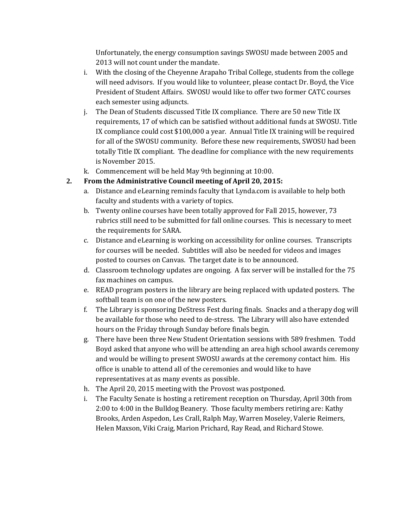Unfortunately, the energy consumption savings SWOSU made between 2005 and 2013 will not count under the mandate.

- i. With the closing of the Cheyenne Arapaho Tribal College, students from the college will need advisors. If you would like to volunteer, please contact Dr. Boyd, the Vice President of Student Affairs. SWOSU would like to offer two former CATC courses each semester using adjuncts.
- j. The Dean of Students discussed Title IX compliance. There are 50 new Title IX requirements, 17 of which can be satisfied without additional funds at SWOSU. Title IX compliance could cost \$100,000 a year. Annual Title IX training will be required for all of the SWOSU community. Before these new requirements, SWOSU had been totally Title IX compliant. The deadline for compliance with the new requirements is November 2015.
- k. Commencement will be held May 9th beginning at 10:00.

### **2. From the Administrative Council meeting of April 20, 2015:**

- a. Distance and eLearning reminds faculty that Lynda.com is available to help both faculty and students with a variety of topics.
- b. Twenty online courses have been totally approved for Fall 2015, however, 73 rubrics still need to be submitted for fall online courses. This is necessary to meet the requirements for SARA.
- c. Distance and eLearning is working on accessibility for online courses. Transcripts for courses will be needed. Subtitles will also be needed for videos and images posted to courses on Canvas. The target date is to be announced.
- d. Classroom technology updates are ongoing. A fax server will be installed for the 75 fax machines on campus.
- e. READ program posters in the library are being replaced with updated posters. The softball team is on one of the new posters.
- f. The Library is sponsoring DeStress Fest during finals. Snacks and a therapy dog will be available for those who need to de-stress. The Library will also have extended hours on the Friday through Sunday before finals begin.
- g. There have been three New Student Orientation sessions with 589 freshmen. Todd Boyd asked that anyone who will be attending an area high school awards ceremony and would be willing to present SWOSU awards at the ceremony contact him. His office is unable to attend all of the ceremonies and would like to have representatives at as many events as possible.
- h. The April 20, 2015 meeting with the Provost was postponed.
- i. The Faculty Senate is hosting a retirement reception on Thursday, April 30th from 2:00 to 4:00 in the Bulldog Beanery. Those faculty members retiring are: Kathy Brooks, Arden Aspedon, Les Crall, Ralph May, Warren Moseley, Valerie Reimers, Helen Maxson, Viki Craig, Marion Prichard, Ray Read, and Richard Stowe.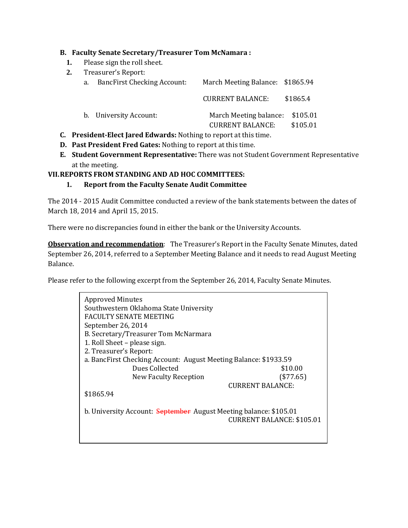#### **B. Faculty Senate Secretary/Treasurer Tom McNamara :**

- **1.** Please sign the roll sheet.<br>**2.** Treasurer's Report:
- **2.** Treasurer's Report:

| a. | <b>BancFirst Checking Account:</b> | March Meeting Balance: \$1865.94                           |          |
|----|------------------------------------|------------------------------------------------------------|----------|
|    |                                    | <b>CURRENT BALANCE:</b>                                    | \$1865.4 |
|    | b. University Account:             | March Meeting balance: \$105.01<br><b>CURRENT BALANCE:</b> | \$105.01 |

- **C. President-Elect Jared Edwards:** Nothing to report at this time.
- **D. Past President Fred Gates:** Nothing to report at this time.
- **E. Student Government Representative:** There was not Student Government Representative at the meeting.

#### **VII.REPORTS FROM STANDING AND AD HOC COMMITTEES:**

**1. Report from the Faculty Senate Audit Committee** 

The 2014 - 2015 Audit Committee conducted a review of the bank statements between the dates of March 18, 2014 and April 15, 2015.

There were no discrepancies found in either the bank or the University Accounts.

**Observation and recommendation**: The Treasurer's Report in the Faculty Senate Minutes, dated September 26, 2014, referred to a September Meeting Balance and it needs to read August Meeting Balance.

Please refer to the following excerpt from the September 26, 2014, Faculty Senate Minutes.

| <b>Approved Minutes</b><br>Southwestern Oklahoma State University<br>FACULTY SENATE MEETING<br>September 26, 2014<br>B. Secretary/Treasurer Tom McNarmara<br>1. Roll Sheet – please sign.<br>2. Treasurer's Report:<br>a. BancFirst Checking Account: August Meeting Balance: \$1933.59<br>Dues Collected<br>\$10.00<br>(\$77.65)<br>New Faculty Reception |  |
|------------------------------------------------------------------------------------------------------------------------------------------------------------------------------------------------------------------------------------------------------------------------------------------------------------------------------------------------------------|--|
| <b>CURRENT BALANCE:</b><br>\$1865.94                                                                                                                                                                                                                                                                                                                       |  |
| b. University Account: September August Meeting balance: \$105.01<br><b>CURRENT BALANCE: \$105.01</b>                                                                                                                                                                                                                                                      |  |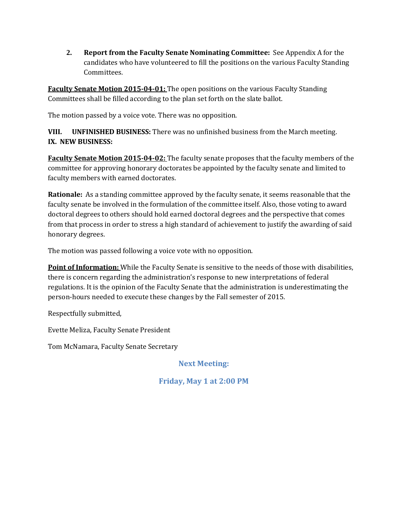**2. Report from the Faculty Senate Nominating Committee:** See Appendix A for the candidates who have volunteered to fill the positions on the various Faculty Standing Committees.

**Faculty Senate Motion 2015-04-01:** The open positions on the various Faculty Standing Committees shall be filled according to the plan set forth on the slate ballot.

The motion passed by a voice vote. There was no opposition.

**VIII. UNFINISHED BUSINESS:** There was no unfinished business from the March meeting. **IX. NEW BUSINESS:** 

**Faculty Senate Motion 2015-04-02:** The faculty senate proposes that the faculty members of the committee for approving honorary doctorates be appointed by the faculty senate and limited to faculty members with earned doctorates.

**Rationale:** As a standing committee approved by the faculty senate, it seems reasonable that the faculty senate be involved in the formulation of the committee itself. Also, those voting to award doctoral degrees to others should hold earned doctoral degrees and the perspective that comes from that process in order to stress a high standard of achievement to justify the awarding of said honorary degrees.

The motion was passed following a voice vote with no opposition.

**Point of Information:** While the Faculty Senate is sensitive to the needs of those with disabilities, there is concern regarding the administration's response to new interpretations of federal regulations. It is the opinion of the Faculty Senate that the administration is underestimating the person-hours needed to execute these changes by the Fall semester of 2015.

Respectfully submitted,

Evette Meliza, Faculty Senate President

Tom McNamara, Faculty Senate Secretary

**Next Meeting:**

**Friday, May 1 at 2:00 PM**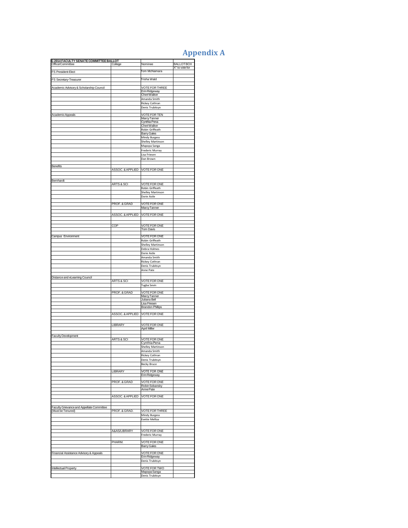## **Appendix A**

| G 2014 FACULTY SENATE COMMITTEE BALLOT<br>Office/Committee | College                         | Nominee                                | <b>BALLOT BOX</b> |
|------------------------------------------------------------|---------------------------------|----------------------------------------|-------------------|
| FS President-Elect                                         |                                 | Tom McNamara                           | X" to vote for    |
| FS Secretary-Treasurer                                     |                                 | Trisha Wald                            |                   |
|                                                            |                                 |                                        |                   |
| Academic Advisory & Scholarship Council                    |                                 | <b>VOTE FOR THREE</b><br>Erin Ridgeway |                   |
|                                                            |                                 | <b>CheriWalker</b><br>Amanda Smith     |                   |
|                                                            |                                 | Rickey Cothran                         |                   |
|                                                            |                                 | Denis Trubitsyn                        |                   |
| Academic Appeals                                           |                                 | <b>VOTE FOR TEN</b><br>Marcy Tanner    |                   |
|                                                            |                                 | Cynthia Pena<br>Cheri Walker           |                   |
|                                                            |                                 | Robin Griffeath                        |                   |
|                                                            |                                 | <b>Barry Gales</b><br>Mindy Burgess    |                   |
|                                                            |                                 | Shelley Martinson                      |                   |
|                                                            |                                 | Mapopa Sanga<br>Frederic Murray        |                   |
|                                                            |                                 | Lisa Friesen                           |                   |
|                                                            |                                 | Dan Brown                              |                   |
| Benefits                                                   | ASSOC. & APPLIED   VOTE FOR ONE |                                        |                   |
|                                                            |                                 |                                        |                   |
| Bernhardt                                                  |                                 |                                        |                   |
|                                                            | ARTS & SCI                      | <b>VOTE FOR ONE</b><br>Robin Griffeath |                   |
|                                                            |                                 | Shelley Martinson                      |                   |
|                                                            |                                 | Dorie Astle                            |                   |
|                                                            | PROF. & GRAD                    | <b>VOTE FOR ONE</b><br>Marcy Tanner    |                   |
|                                                            | ASSOC. & APPLIED   VOTE FOR ONE |                                        |                   |
|                                                            |                                 |                                        |                   |
|                                                            | COP                             | <b>VOTE FOR ONE</b>                    |                   |
|                                                            |                                 | Tom Davis                              |                   |
| Campus Environment                                         |                                 | VOTE FOR ONE<br>Robin Griffeath        |                   |
|                                                            |                                 | Shelley Martinson                      |                   |
|                                                            |                                 | Debra Holmes<br>Dorie Astle            |                   |
|                                                            |                                 | Amanda Smith                           |                   |
|                                                            |                                 | Rickey Cothran<br>Denis Trubitsyn      |                   |
|                                                            |                                 | Anne Pate                              |                   |
| Distance and eLeaming Council                              |                                 |                                        |                   |
|                                                            | ARTS & SCI                      | VOTE FOR ONE<br>Tugba Sevin            |                   |
|                                                            |                                 |                                        |                   |
|                                                            | PROF. & GRAD                    | <b>VOTE FOR ONE</b><br>Marcy Tanner    |                   |
|                                                            |                                 | Juliana Bell<br>Lisa Friesen           |                   |
|                                                            |                                 | <b>Brandon Phillips</b>                |                   |
|                                                            | ASSOC. & APPLIED                | <b>VOTE FOR ONE</b>                    |                   |
|                                                            |                                 |                                        |                   |
|                                                            | LIBRARY                         | VOTE FOR ONE<br><b>April Miller</b>    |                   |
| <b>Faculty Development</b>                                 |                                 |                                        |                   |
|                                                            | ARTS & SCI                      | <b>VOTE FOR ONE</b><br>Cynthia Pena    |                   |
|                                                            |                                 | Shelley Martinson                      |                   |
|                                                            |                                 | Amanda Smith<br>Rickey Cothran         |                   |
|                                                            |                                 | Denis Trubitsyn                        |                   |
|                                                            |                                 | Becky Bruce                            |                   |
|                                                            | LIBRARY                         | VOTE FOR ONE<br>Erin Ridgeway          |                   |
|                                                            | PROF. & GRAD                    | <b>VOTE FOR ONE</b>                    |                   |
|                                                            |                                 | Robin Sobansky                         |                   |
|                                                            |                                 | Anne Pate                              |                   |
|                                                            | ASSOC. & APPLIED                | <b>VOTE FOR ONE</b>                    |                   |
| Faculty Grievance and Appellate Committee                  |                                 |                                        |                   |
| (Must be Tenured)                                          | PROF. & GRAD.                   | <b>VOTE FOR THREE</b>                  |                   |
|                                                            |                                 | Mindy Burgess<br>Evette Melliza        |                   |
|                                                            |                                 |                                        |                   |
|                                                            | A&AS/LIBRARY                    | VOTE FOR ONE                           |                   |
|                                                            |                                 | Frederic Murray                        |                   |
|                                                            | PHARM                           | VOTE FOR ONE<br><b>Barry Gales</b>     |                   |
|                                                            |                                 | <b>VOTE FOR ONE</b>                    |                   |
| Financial Assistance Advisory & Appeals                    |                                 | Erin Ridgeway                          |                   |
|                                                            |                                 | Denis Trubitsyn                        |                   |
| <b>Intellectual Property</b>                               |                                 | <b>VOTE FOR TWO</b><br>Mapopa Sanga    |                   |
|                                                            |                                 | Denis Trubitsyn                        |                   |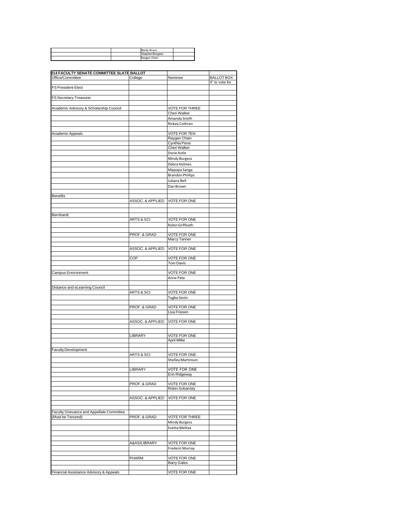|  | Becky Bruce     |  |
|--|-----------------|--|
|  | Stephen Burgess |  |
|  | Raygan Chain    |  |

| 014 FACULTY SENATE COMMITTEE SLATE BALLOT |                             |                                  |                   |
|-------------------------------------------|-----------------------------|----------------------------------|-------------------|
| Office/Committee                          | College                     | Nominee                          | <b>BALLOT BOX</b> |
|                                           |                             |                                  | X" to vote for    |
| FS President-Elect                        |                             |                                  |                   |
|                                           |                             |                                  |                   |
| FS Secretary-Treasurer                    |                             |                                  |                   |
|                                           |                             |                                  |                   |
| Academic Advisory & Scholarship Council   |                             | <b>VOTE FOR THREE</b>            |                   |
|                                           |                             | Cheri Walker                     |                   |
|                                           |                             | Amanda Smith                     |                   |
|                                           |                             | Rickey Cothran                   |                   |
|                                           |                             |                                  |                   |
| Academic Appeals                          |                             | <b>VOTE FOR TEN</b>              |                   |
|                                           |                             | Raygan Chain                     |                   |
|                                           |                             | Cynthia Pena<br>Cheri Walker     |                   |
|                                           |                             | Dorie Astle                      |                   |
|                                           |                             | Mindy Burgess                    |                   |
|                                           |                             |                                  |                   |
|                                           |                             | Debra Holmes                     |                   |
|                                           |                             | Mapopa Sanga                     |                   |
|                                           |                             | <b>Brandon Phillips</b>          |                   |
|                                           |                             | Juliana Bell                     |                   |
|                                           |                             | Dan Brown                        |                   |
|                                           |                             |                                  |                   |
| <b>Benefits</b>                           | ASSOC. & APPLIED            | <b>VOTE FOR ONE</b>              |                   |
|                                           |                             |                                  |                   |
|                                           |                             |                                  |                   |
| Bernhardt                                 |                             |                                  |                   |
|                                           | ARTS & SCI                  | <b>VOTE FOR ONE</b>              |                   |
|                                           |                             | Robin Griffeath                  |                   |
|                                           |                             |                                  |                   |
|                                           | PROF. & GRAD                | <b>VOTE FOR ONE</b>              |                   |
|                                           |                             | Marcy Tanner                     |                   |
|                                           |                             |                                  |                   |
|                                           | ASSOC. & APPLIED            | <b>VOTE FOR ONE</b>              |                   |
|                                           |                             |                                  |                   |
|                                           | COP                         | <b>VOTE FOR ONE</b><br>Tom Davis |                   |
|                                           |                             |                                  |                   |
| Campus Environment                        |                             | <b>VOTE FOR ONE</b>              |                   |
|                                           |                             | Anne Pate                        |                   |
|                                           |                             |                                  |                   |
| Distance and eLearning Council            |                             |                                  |                   |
|                                           | ARTS & SCI                  | <b>VOTE FOR ONE</b>              |                   |
|                                           |                             | Tugba Sevin                      |                   |
|                                           |                             |                                  |                   |
|                                           | PROF. & GRAD                | VOTE FOR ONE                     |                   |
|                                           |                             | Lisa Friesen                     |                   |
|                                           | <b>ASSOC. &amp; APPLIED</b> |                                  |                   |
|                                           |                             | <b>VOTE FOR ONE</b>              |                   |
|                                           |                             |                                  |                   |
|                                           | LIBRARY                     | VOTE FOR ONE                     |                   |
|                                           |                             | <b>April Miller</b>              |                   |
|                                           |                             |                                  |                   |
| <b>Faculty Development</b>                |                             |                                  |                   |
|                                           | ARTS & SCI                  | <b>VOTE FOR ONE</b>              |                   |
|                                           |                             | Shelley Martinson                |                   |
|                                           |                             |                                  |                   |
|                                           | LIBRARY                     | <b>VOTE FOR ONE</b>              |                   |
|                                           |                             | Erin Ridgeway                    |                   |
|                                           | PROF. & GRAD                | VOTE FOR ONE                     |                   |
|                                           |                             | Robin Sobansky                   |                   |
|                                           |                             |                                  |                   |
|                                           | ASSOC. & APPLIED            | VOTE FOR ONE                     |                   |
|                                           |                             |                                  |                   |
|                                           |                             |                                  |                   |
| Faculty Grievance and Appellate Committee |                             |                                  |                   |
| (Must be Tenured)                         | PROF. & GRAD.               | <b>VOTE FOR THREE</b>            |                   |
|                                           |                             | Mindy Burgess                    |                   |
|                                           |                             | Evette Melliza                   |                   |
|                                           |                             |                                  |                   |
|                                           |                             |                                  |                   |
|                                           | A&AS/LIBRARY                | VOTE FOR ONE                     |                   |
|                                           |                             | Frederic Murray                  |                   |
|                                           | PHARM.                      | <b>VOTE FOR ONE</b>              |                   |
|                                           |                             | <b>Barry Gales</b>               |                   |
|                                           |                             |                                  |                   |
| Financial Assistance Advisory & Appeals   |                             | VOTE FOR ONE                     |                   |
|                                           |                             |                                  |                   |